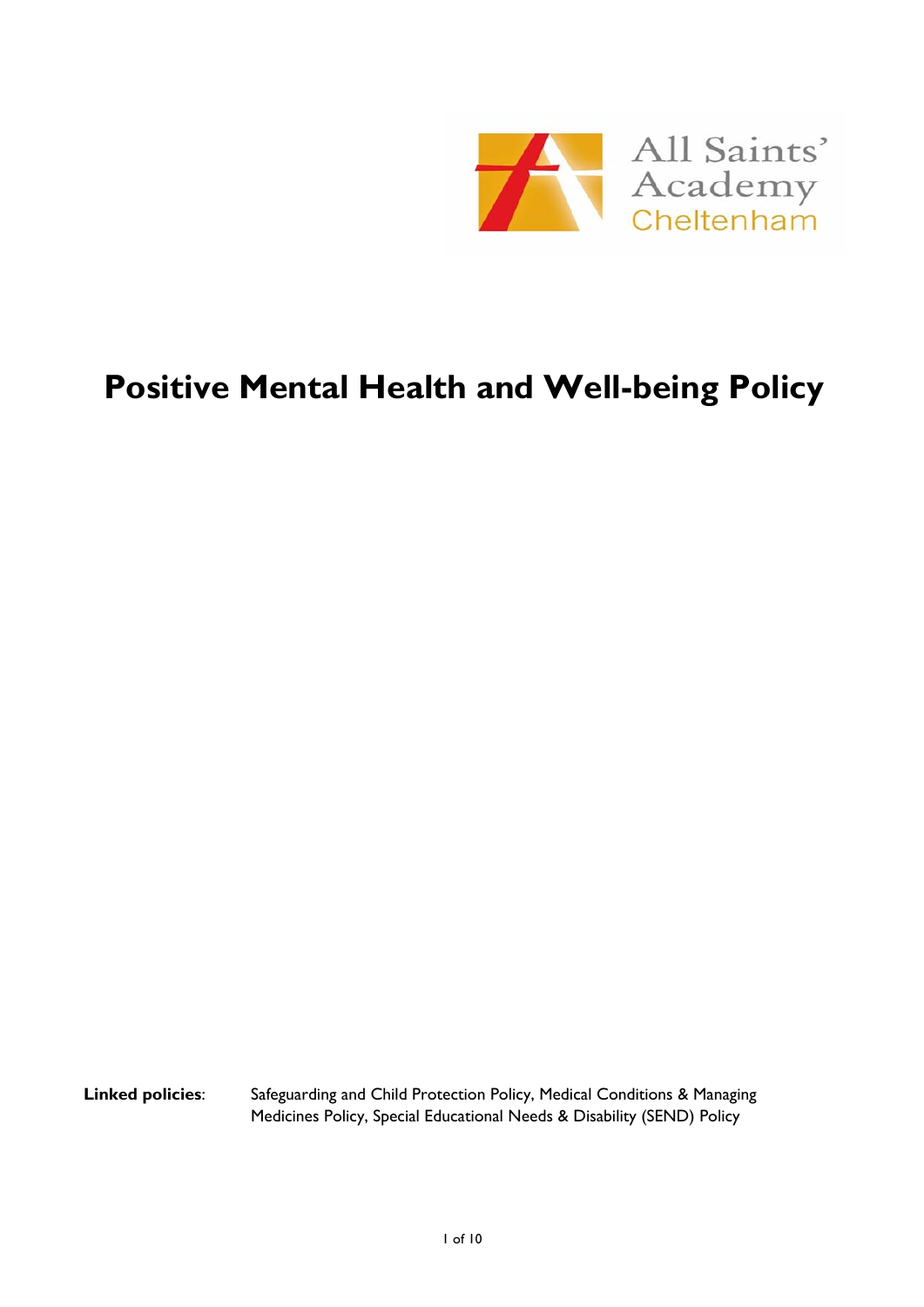

# **Positive Mental Health and Well-being Policy**

**Linked policies**: Safeguarding and Child Protection Policy, Medical Conditions & Managing Medicines Policy, Special Educational Needs & Disability (SEND) Policy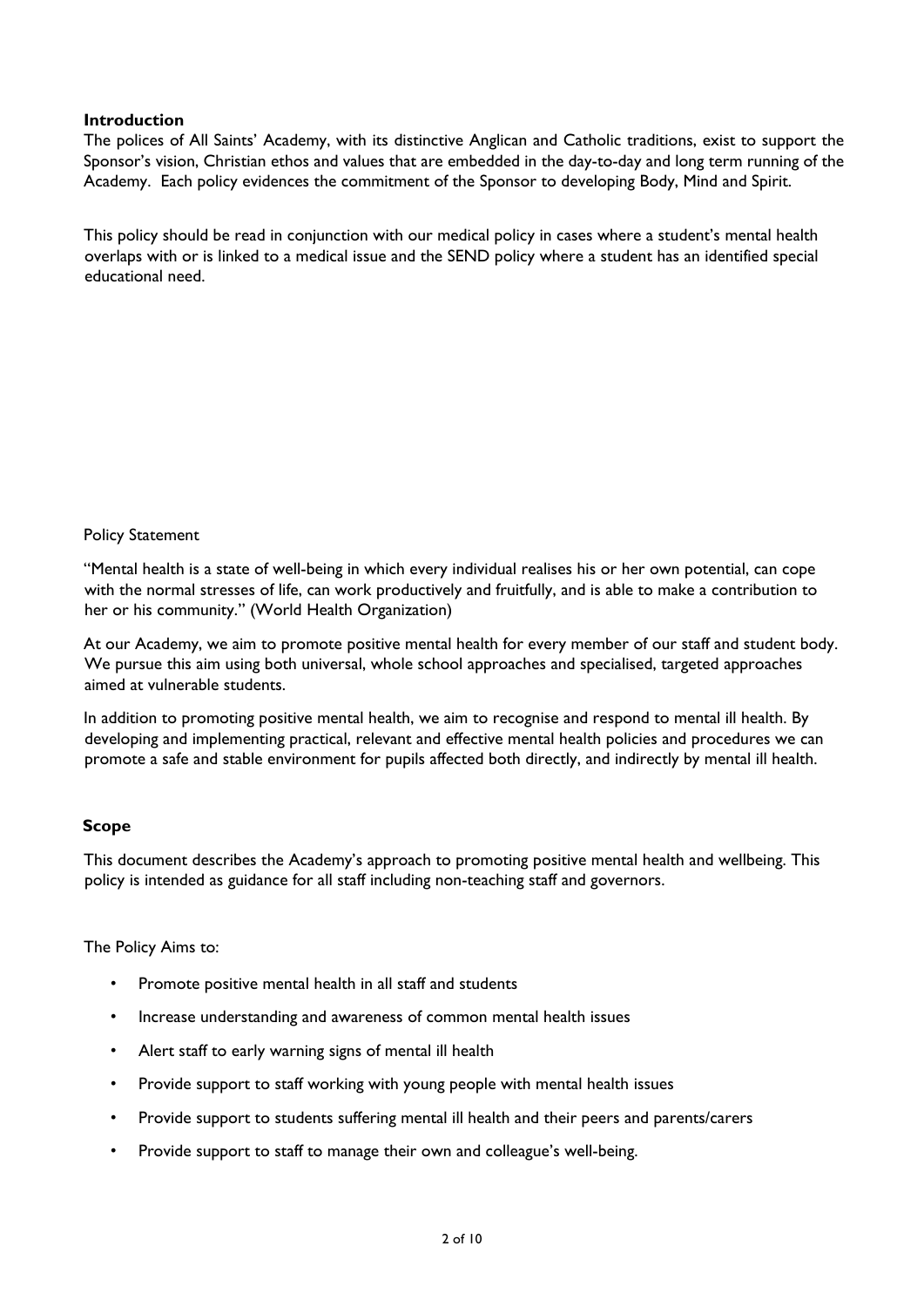### **Introduction**

The polices of All Saints' Academy, with its distinctive Anglican and Catholic traditions, exist to support the Sponsor's vision, Christian ethos and values that are embedded in the day-to-day and long term running of the Academy. Each policy evidences the commitment of the Sponsor to developing Body, Mind and Spirit.

This policy should be read in conjunction with our medical policy in cases where a student's mental health overlaps with or is linked to a medical issue and the SEND policy where a student has an identified special educational need.

### Policy Statement

"Mental health is a state of well-being in which every individual realises his or her own potential, can cope with the normal stresses of life, can work productively and fruitfully, and is able to make a contribution to her or his community." (World Health Organization)

At our Academy, we aim to promote positive mental health for every member of our staff and student body. We pursue this aim using both universal, whole school approaches and specialised, targeted approaches aimed at vulnerable students.

In addition to promoting positive mental health, we aim to recognise and respond to mental ill health. By developing and implementing practical, relevant and effective mental health policies and procedures we can promote a safe and stable environment for pupils affected both directly, and indirectly by mental ill health.

### **Scope**

This document describes the Academy's approach to promoting positive mental health and wellbeing. This policy is intended as guidance for all staff including non-teaching staff and governors.

The Policy Aims to:

- Promote positive mental health in all staff and students
- Increase understanding and awareness of common mental health issues
- Alert staff to early warning signs of mental ill health
- Provide support to staff working with young people with mental health issues
- Provide support to students suffering mental ill health and their peers and parents/carers
- Provide support to staff to manage their own and colleague's well-being.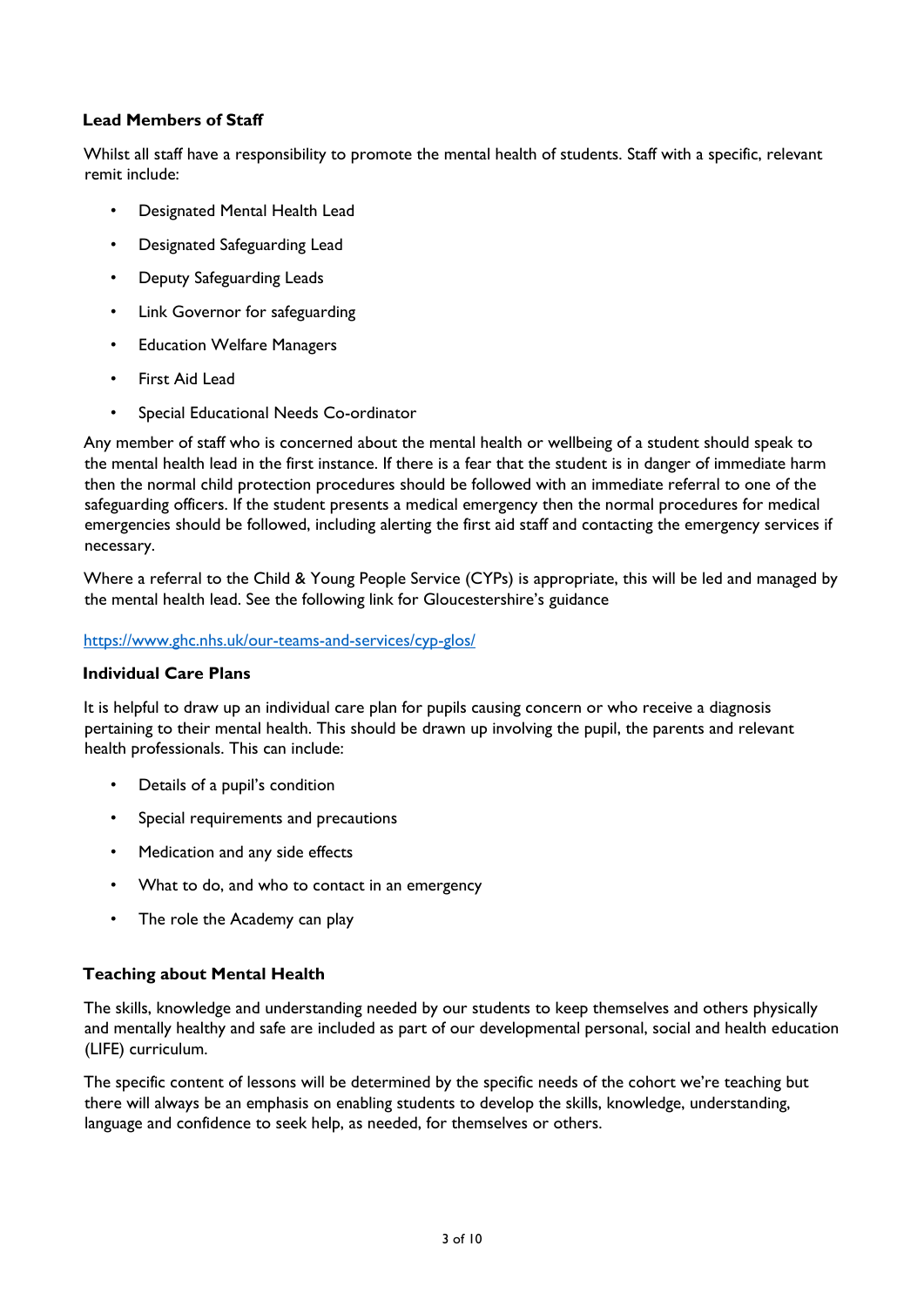### **Lead Members of Staff**

Whilst all staff have a responsibility to promote the mental health of students. Staff with a specific, relevant remit include:

- Designated Mental Health Lead
- Designated Safeguarding Lead
- Deputy Safeguarding Leads
- Link Governor for safeguarding
- Education Welfare Managers
- First Aid Lead
- Special Educational Needs Co-ordinator

Any member of staff who is concerned about the mental health or wellbeing of a student should speak to the mental health lead in the first instance. If there is a fear that the student is in danger of immediate harm then the normal child protection procedures should be followed with an immediate referral to one of the safeguarding officers. If the student presents a medical emergency then the normal procedures for medical emergencies should be followed, including alerting the first aid staff and contacting the emergency services if necessary.

Where a referral to the Child & Young People Service (CYPs) is appropriate, this will be led and managed by the mental health lead. See the following link for Gloucestershire's guidance

#### https://www.ghc.nhs.uk/our-teams-and-services/cyp-glos/

### **Individual Care Plans**

It is helpful to draw up an individual care plan for pupils causing concern or who receive a diagnosis pertaining to their mental health. This should be drawn up involving the pupil, the parents and relevant health professionals. This can include:

- Details of a pupil's condition
- Special requirements and precautions
- Medication and any side effects
- What to do, and who to contact in an emergency
- The role the Academy can play

#### **Teaching about Mental Health**

The skills, knowledge and understanding needed by our students to keep themselves and others physically and mentally healthy and safe are included as part of our developmental personal, social and health education (LIFE) curriculum.

The specific content of lessons will be determined by the specific needs of the cohort we're teaching but there will always be an emphasis on enabling students to develop the skills, knowledge, understanding, language and confidence to seek help, as needed, for themselves or others.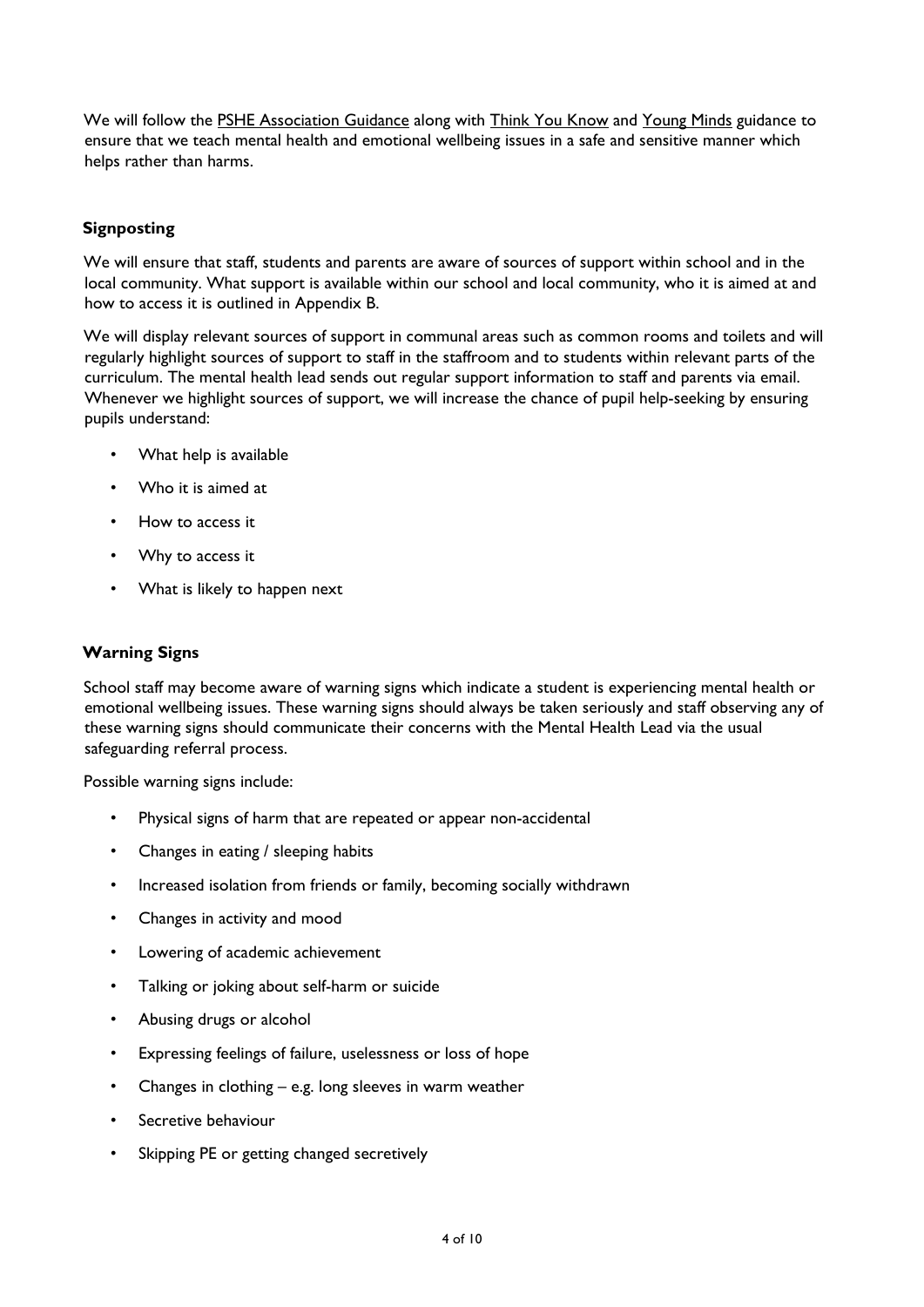We will follow the PSHE Association Guidance along with Think You Know and Young Minds guidance to ensure that we teach mental health and emotional wellbeing issues in a safe and sensitive manner which helps rather than harms.

### **Signposting**

We will ensure that staff, students and parents are aware of sources of support within school and in the local community. What support is available within our school and local community, who it is aimed at and how to access it is outlined in Appendix B.

We will display relevant sources of support in communal areas such as common rooms and toilets and will regularly highlight sources of support to staff in the staffroom and to students within relevant parts of the curriculum. The mental health lead sends out regular support information to staff and parents via email. Whenever we highlight sources of support, we will increase the chance of pupil help-seeking by ensuring pupils understand:

- What help is available
- Who it is aimed at
- How to access it
- Why to access it
- What is likely to happen next

### **Warning Signs**

School staff may become aware of warning signs which indicate a student is experiencing mental health or emotional wellbeing issues. These warning signs should always be taken seriously and staff observing any of these warning signs should communicate their concerns with the Mental Health Lead via the usual safeguarding referral process.

Possible warning signs include:

- Physical signs of harm that are repeated or appear non-accidental
- Changes in eating / sleeping habits
- Increased isolation from friends or family, becoming socially withdrawn
- Changes in activity and mood
- Lowering of academic achievement
- Talking or joking about self-harm or suicide
- Abusing drugs or alcohol
- Expressing feelings of failure, uselessness or loss of hope
- Changes in clothing  $-$  e.g. long sleeves in warm weather
- Secretive behaviour
- Skipping PE or getting changed secretively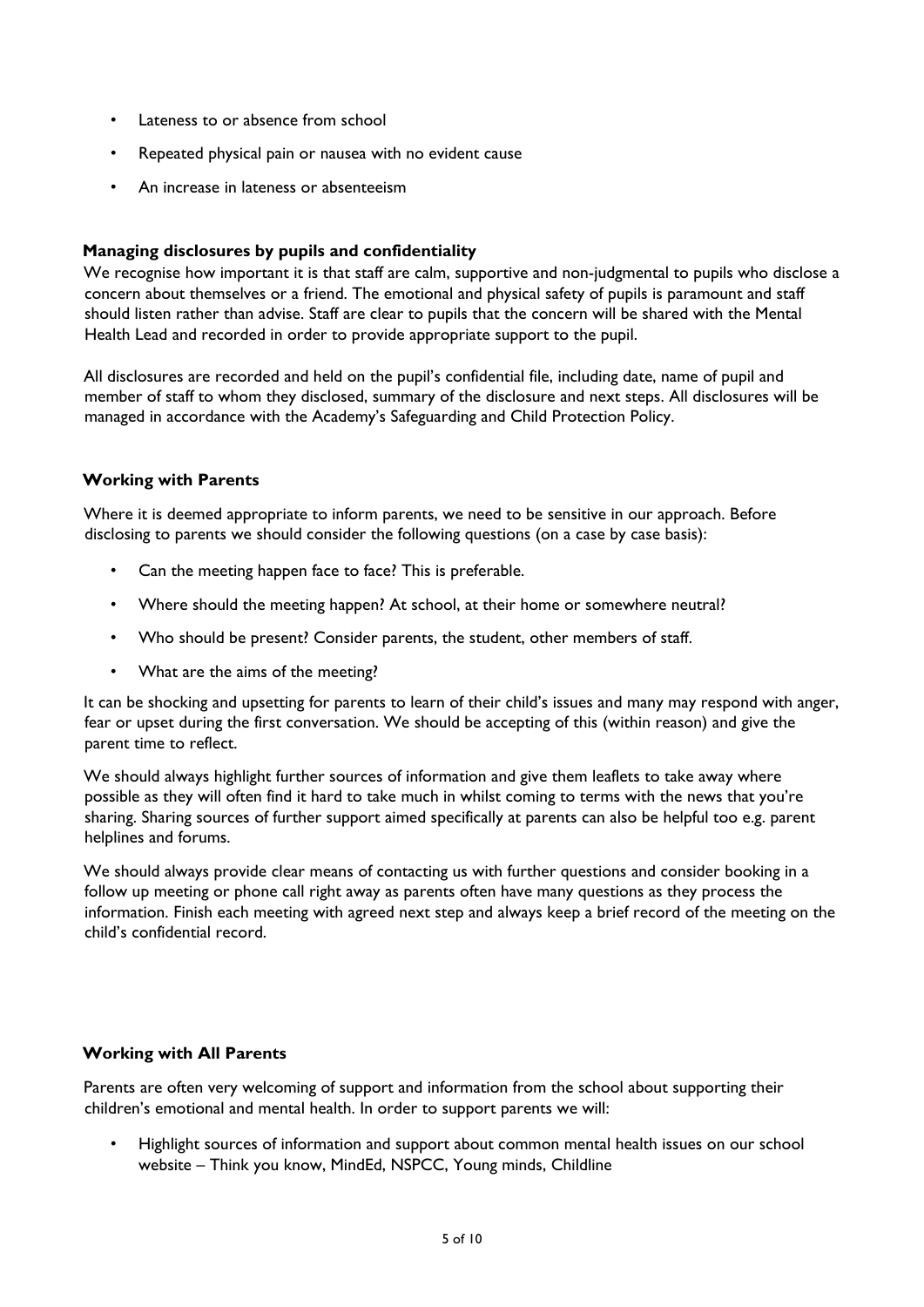- Lateness to or absence from school
- Repeated physical pain or nausea with no evident cause
- An increase in lateness or absenteeism

#### **Managing disclosures by pupils and confidentiality**

We recognise how important it is that staff are calm, supportive and non-judgmental to pupils who disclose a concern about themselves or a friend. The emotional and physical safety of pupils is paramount and staff should listen rather than advise. Staff are clear to pupils that the concern will be shared with the Mental Health Lead and recorded in order to provide appropriate support to the pupil.

All disclosures are recorded and held on the pupil's confidential file, including date, name of pupil and member of staff to whom they disclosed, summary of the disclosure and next steps. All disclosures will be managed in accordance with the Academy's Safeguarding and Child Protection Policy.

### **Working with Parents**

Where it is deemed appropriate to inform parents, we need to be sensitive in our approach. Before disclosing to parents we should consider the following questions (on a case by case basis):

- Can the meeting happen face to face? This is preferable.
- Where should the meeting happen? At school, at their home or somewhere neutral?
- Who should be present? Consider parents, the student, other members of staff.
- What are the aims of the meeting?

It can be shocking and upsetting for parents to learn of their child's issues and many may respond with anger, fear or upset during the first conversation. We should be accepting of this (within reason) and give the parent time to reflect.

We should always highlight further sources of information and give them leaflets to take away where possible as they will often find it hard to take much in whilst coming to terms with the news that you're sharing. Sharing sources of further support aimed specifically at parents can also be helpful too e.g. parent helplines and forums.

We should always provide clear means of contacting us with further questions and consider booking in a follow up meeting or phone call right away as parents often have many questions as they process the information. Finish each meeting with agreed next step and always keep a brief record of the meeting on the child's confidential record.

### **Working with All Parents**

Parents are often very welcoming of support and information from the school about supporting their children's emotional and mental health. In order to support parents we will:

• Highlight sources of information and support about common mental health issues on our school website – Think you know, MindEd, NSPCC, Young minds, Childline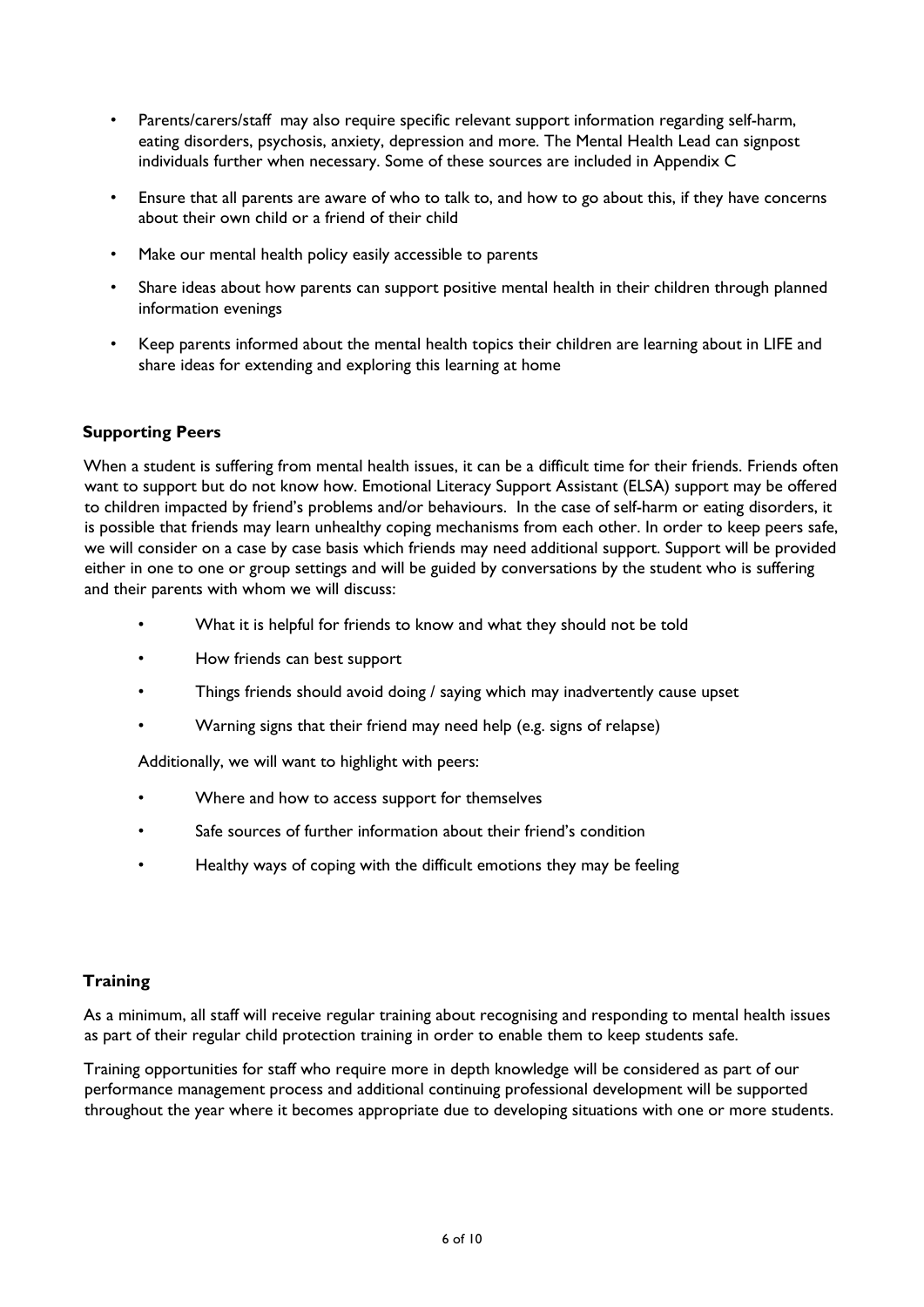- Parents/carers/staff may also require specific relevant support information regarding self-harm, eating disorders, psychosis, anxiety, depression and more. The Mental Health Lead can signpost individuals further when necessary. Some of these sources are included in Appendix C
- Ensure that all parents are aware of who to talk to, and how to go about this, if they have concerns about their own child or a friend of their child
- Make our mental health policy easily accessible to parents
- Share ideas about how parents can support positive mental health in their children through planned information evenings
- Keep parents informed about the mental health topics their children are learning about in LIFE and share ideas for extending and exploring this learning at home

### **Supporting Peers**

When a student is suffering from mental health issues, it can be a difficult time for their friends. Friends often want to support but do not know how. Emotional Literacy Support Assistant (ELSA) support may be offered to children impacted by friend's problems and/or behaviours. In the case of self-harm or eating disorders, it is possible that friends may learn unhealthy coping mechanisms from each other. In order to keep peers safe, we will consider on a case by case basis which friends may need additional support. Support will be provided either in one to one or group settings and will be guided by conversations by the student who is suffering and their parents with whom we will discuss:

- What it is helpful for friends to know and what they should not be told
- How friends can best support
- Things friends should avoid doing / saying which may inadvertently cause upset
- Warning signs that their friend may need help (e.g. signs of relapse)

Additionally, we will want to highlight with peers:

- Where and how to access support for themselves
- Safe sources of further information about their friend's condition
- Healthy ways of coping with the difficult emotions they may be feeling

#### **Training**

As a minimum, all staff will receive regular training about recognising and responding to mental health issues as part of their regular child protection training in order to enable them to keep students safe.

Training opportunities for staff who require more in depth knowledge will be considered as part of our performance management process and additional continuing professional development will be supported throughout the year where it becomes appropriate due to developing situations with one or more students.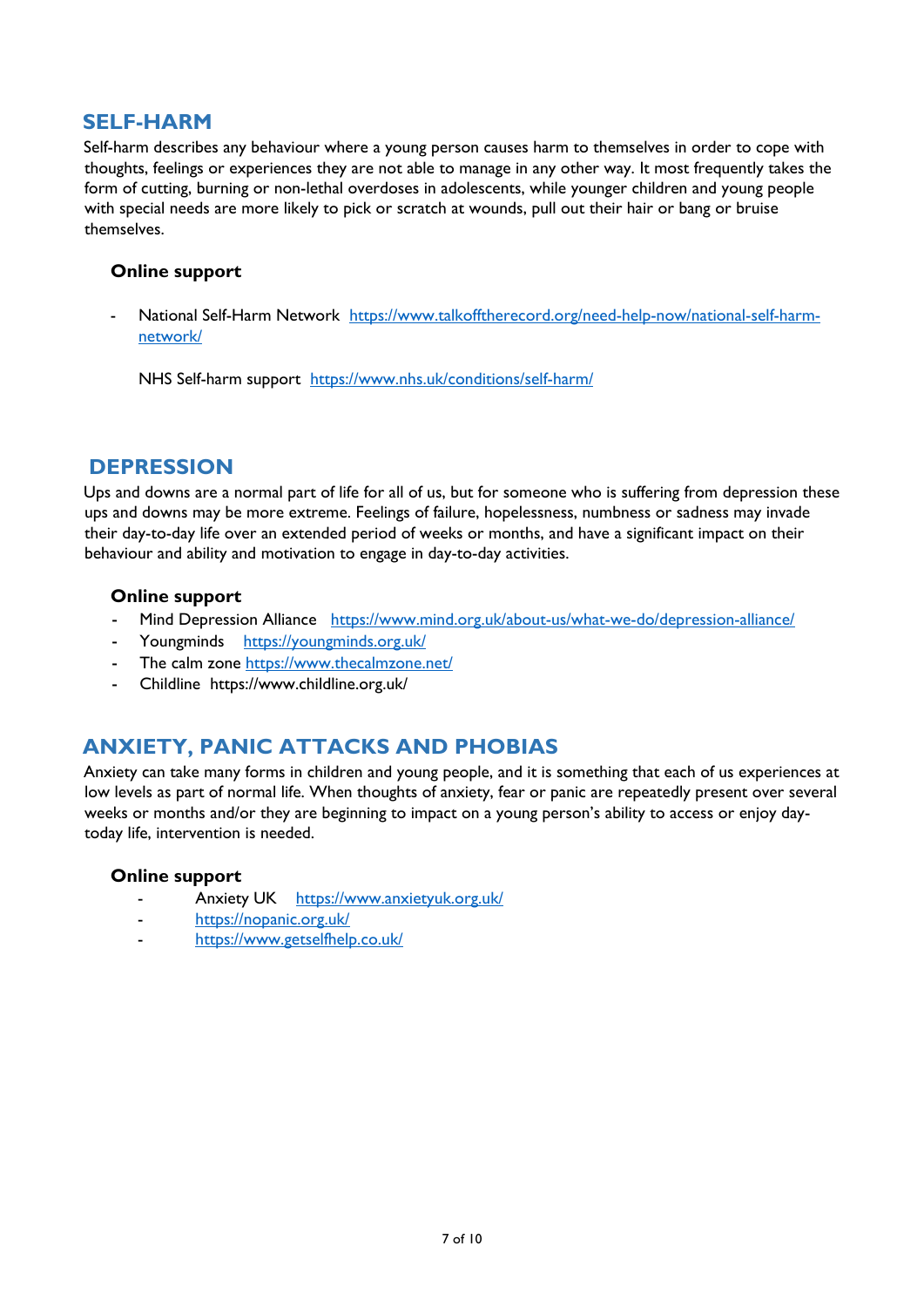### **SELF-HARM**

Self-harm describes any behaviour where a young person causes harm to themselves in order to cope with thoughts, feelings or experiences they are not able to manage in any other way. It most frequently takes the form of cutting, burning or non-lethal overdoses in adolescents, while younger children and young people with special needs are more likely to pick or scratch at wounds, pull out their hair or bang or bruise themselves.

### **Online support**

- National Self-Harm Network https://www.talkofftherecord.org/need-help-now/national-self-harmnetwork/

NHS Self-harm support https://www.nhs.uk/conditions/self-harm/

### **DEPRESSION**

Ups and downs are a normal part of life for all of us, but for someone who is suffering from depression these ups and downs may be more extreme. Feelings of failure, hopelessness, numbness or sadness may invade their day-to-day life over an extended period of weeks or months, and have a significant impact on their behaviour and ability and motivation to engage in day-to-day activities.

### **Online support**

- Mind Depression Alliance https://www.mind.org.uk/about-us/what-we-do/depression-alliance/
- Youngminds https://youngminds.org.uk/
- The calm zone https://www.thecalmzone.net/
- Childline https://www.childline.org.uk/

### **ANXIETY, PANIC ATTACKS AND PHOBIAS**

Anxiety can take many forms in children and young people, and it is something that each of us experiences at low levels as part of normal life. When thoughts of anxiety, fear or panic are repeatedly present over several weeks or months and/or they are beginning to impact on a young person's ability to access or enjoy daytoday life, intervention is needed.

### **Online support**

- Anxiety UK https://www.anxietyuk.org.uk/
- https://nopanic.org.uk/
- https://www.getselfhelp.co.uk/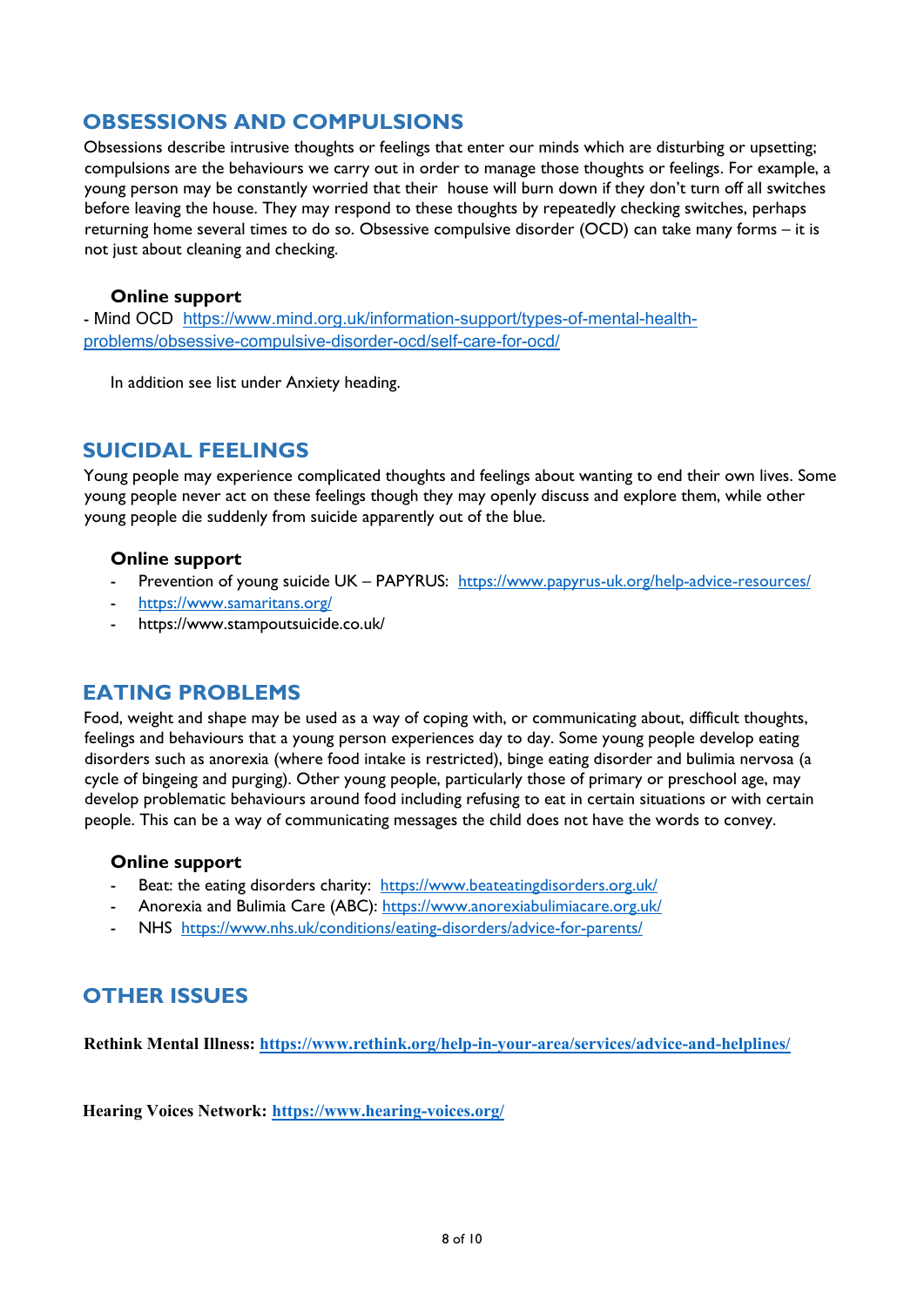### **OBSESSIONS AND COMPULSIONS**

Obsessions describe intrusive thoughts or feelings that enter our minds which are disturbing or upsetting; compulsions are the behaviours we carry out in order to manage those thoughts or feelings. For example, a young person may be constantly worried that their house will burn down if they don't turn off all switches before leaving the house. They may respond to these thoughts by repeatedly checking switches, perhaps returning home several times to do so. Obsessive compulsive disorder (OCD) can take many forms – it is not just about cleaning and checking.

### **Online support**

- Mind OCD https://www.mind.org.uk/information-support/types-of-mental-healthproblems/obsessive-compulsive-disorder-ocd/self-care-for-ocd/

In addition see list under Anxiety heading.

### **SUICIDAL FEELINGS**

Young people may experience complicated thoughts and feelings about wanting to end their own lives. Some young people never act on these feelings though they may openly discuss and explore them, while other young people die suddenly from suicide apparently out of the blue.

### **Online support**

- Prevention of young suicide UK PAPYRUS: https://www.papyrus-uk.org/help-advice-resources/
- https://www.samaritans.org/
- https://www.stampoutsuicide.co.uk/

### **EATING PROBLEMS**

Food, weight and shape may be used as a way of coping with, or communicating about, difficult thoughts, feelings and behaviours that a young person experiences day to day. Some young people develop eating disorders such as anorexia (where food intake is restricted), binge eating disorder and bulimia nervosa (a cycle of bingeing and purging). Other young people, particularly those of primary or preschool age, may develop problematic behaviours around food including refusing to eat in certain situations or with certain people. This can be a way of communicating messages the child does not have the words to convey.

### **Online support**

- Beat: the eating disorders charity: https://www.beateatingdisorders.org.uk/
- Anorexia and Bulimia Care (ABC): https://www.anorexiabulimiacare.org.uk/
- NHS https://www.nhs.uk/conditions/eating-disorders/advice-for-parents/

### **OTHER ISSUES**

**Rethink Mental Illness: https://www.rethink.org/help-in-your-area/services/advice-and-helplines/**

**Hearing Voices Network: https://www.hearing-voices.org/**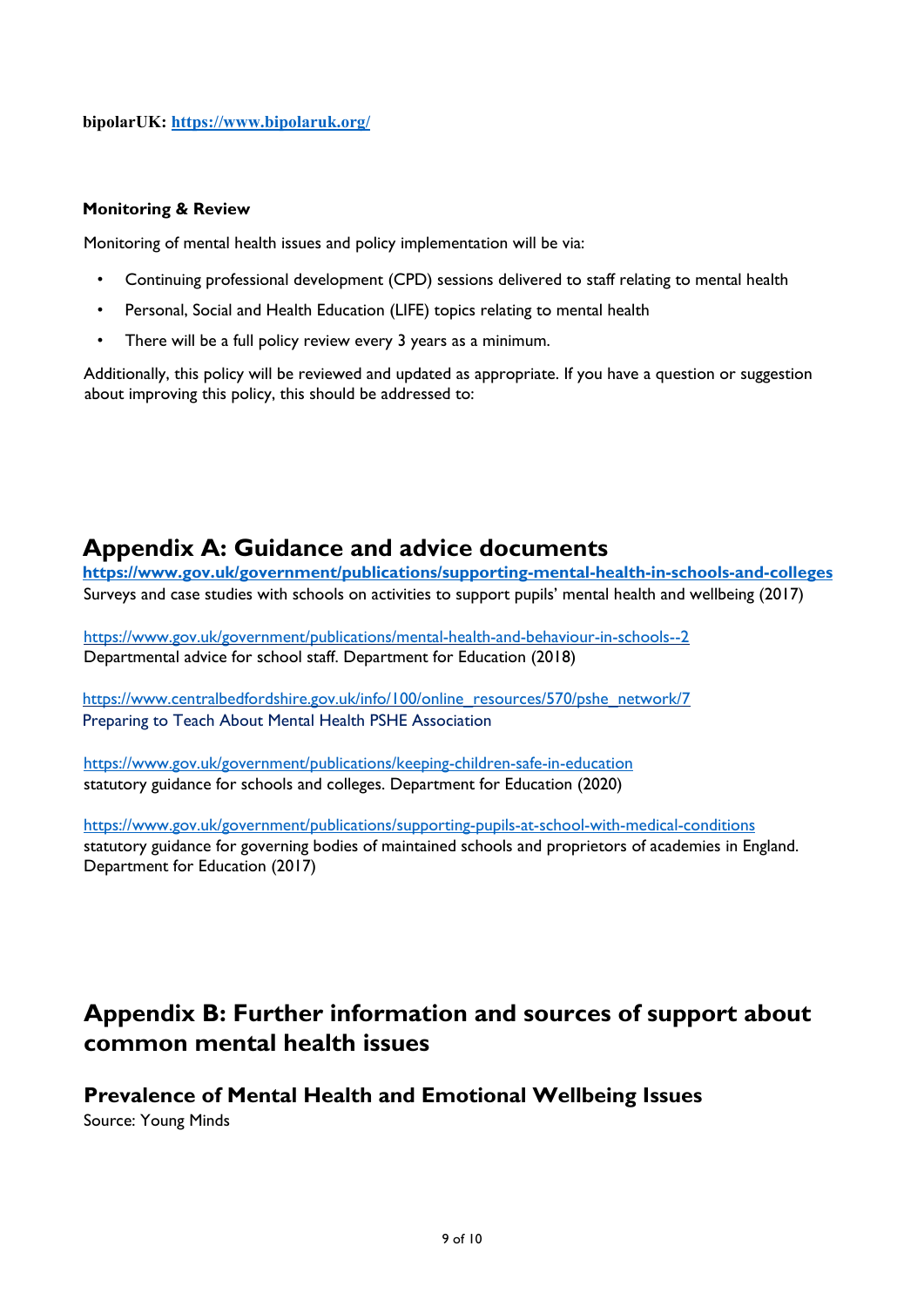**bipolarUK: https://www.bipolaruk.org/**

### **Monitoring & Review**

Monitoring of mental health issues and policy implementation will be via:

- Continuing professional development (CPD) sessions delivered to staff relating to mental health
- Personal, Social and Health Education (LIFE) topics relating to mental health
- There will be a full policy review every 3 years as a minimum.

Additionally, this policy will be reviewed and updated as appropriate. If you have a question or suggestion about improving this policy, this should be addressed to:

### **Appendix A: Guidance and advice documents**

**https://www.gov.uk/government/publications/supporting-mental-health-in-schools-and-colleges** Surveys and case studies with schools on activities to support pupils' mental health and wellbeing (2017)

https://www.gov.uk/government/publications/mental-health-and-behaviour-in-schools--2 Departmental advice for school staff. Department for Education (2018)

https://www.centralbedfordshire.gov.uk/info/100/online\_resources/570/pshe\_network/7 Preparing to Teach About Mental Health PSHE Association

https://www.gov.uk/government/publications/keeping-children-safe-in-education statutory guidance for schools and colleges. Department for Education (2020)

https://www.gov.uk/government/publications/supporting-pupils-at-school-with-medical-conditions statutory guidance for governing bodies of maintained schools and proprietors of academies in England. Department for Education (2017)

## **Appendix B: Further information and sources of support about common mental health issues**

### **Prevalence of Mental Health and Emotional Wellbeing Issues**

Source: Young Minds